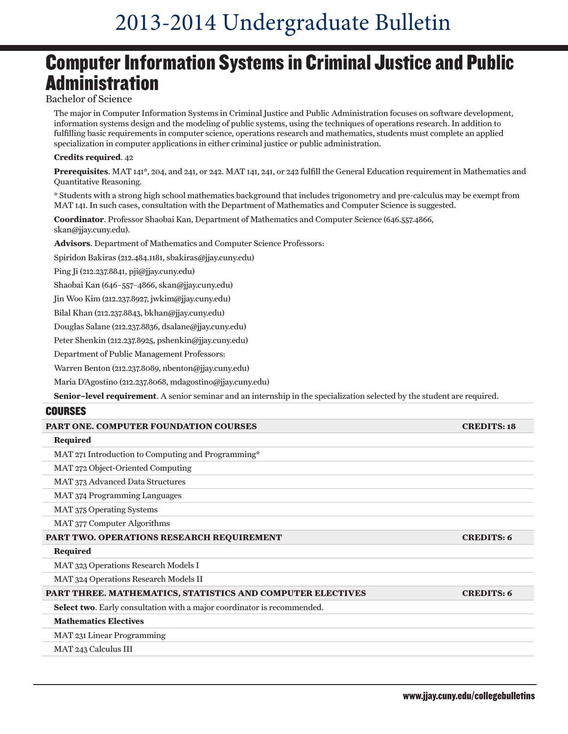# 2013-2014 Undergraduate Bulletin

### Computer Information Systems in Criminal Justice and Public **Administration**

#### Bachelor of Science

The major in Computer Information Systems in Criminal Justice and Public Administration focuses on software development, information systems design and the modeling of public systems, using the techniques of operations research. In addition to fulfilling basic requirements in computer science, operations research and mathematics, students must complete an applied specialization in computer applications in either criminal justice or public administration.

#### **Credits required**. 42

**Prerequisites**. MAT 141\*, 204, and 241, or 242. MAT 141, 241, or 242 fulfill the General Education requirement in Mathematics and Quantitative Reasoning.

\* Students with a strong high school mathematics background that includes trigonometry and pre-calculus may be exempt from MAT 141. In such cases, consultation with the Department of Mathematics and Computer Science is suggested.

**Coordinator**. Professor Shaobai Kan, Department of Mathematics and Computer Science (646.557.4866, skan@jjay.cuny.edu).

**Advisors**. Department of Mathematics and Computer Science Professors:

Spiridon Bakiras (212.484.1181, sbakiras@jjay.cuny.edu)

Ping Ji (212.237.8841, pji@jjay.cuny.edu)

Shaobai Kan (646–557–4866, skan@jjay.cuny.edu)

Jin Woo Kim (212.237.8927, jwkim@jjay.cuny.edu)

Bilal Khan (212.237.8843, bkhan@jjay.cuny.edu)

Douglas Salane (212.237.8836, dsalane@jjay.cuny.edu)

Peter Shenkin (212.237.8925, pshenkin@jjay.cuny.edu)

Department of Public Management Professors:

Warren Benton (212.237.8089, nbenton@jjay.cuny.edu)

Maria D'Agostino (212.237.8068, mdagostino@jjay.cuny.edu)

**Senior–level requirement**. A senior seminar and an internship in the specialization selected by the student are required.

#### **COURSES**

| <b>PART ONE. COMPUTER FOUNDATION COURSES</b>                            | <b>CREDITS: 18</b> |
|-------------------------------------------------------------------------|--------------------|
| Required                                                                |                    |
| MAT 271 Introduction to Computing and Programming*                      |                    |
| MAT 272 Object-Oriented Computing                                       |                    |
| MAT 373 Advanced Data Structures                                        |                    |
| <b>MAT</b> 374 Programming Languages                                    |                    |
| <b>MAT 375 Operating Systems</b>                                        |                    |
| MAT 377 Computer Algorithms                                             |                    |
| <b>PART TWO. OPERATIONS RESEARCH REQUIREMENT</b>                        | <b>CREDITS: 6</b>  |
| Required                                                                |                    |
| MAT 323 Operations Research Models I                                    |                    |
| MAT 324 Operations Research Models II                                   |                    |
| PART THREE. MATHEMATICS, STATISTICS AND COMPUTER ELECTIVES              | <b>CREDITS: 6</b>  |
| Select two. Early consultation with a major coordinator is recommended. |                    |
| <b>Mathematics Electives</b>                                            |                    |
| MAT 231 Linear Programming                                              |                    |
| MAT 243 Calculus III                                                    |                    |